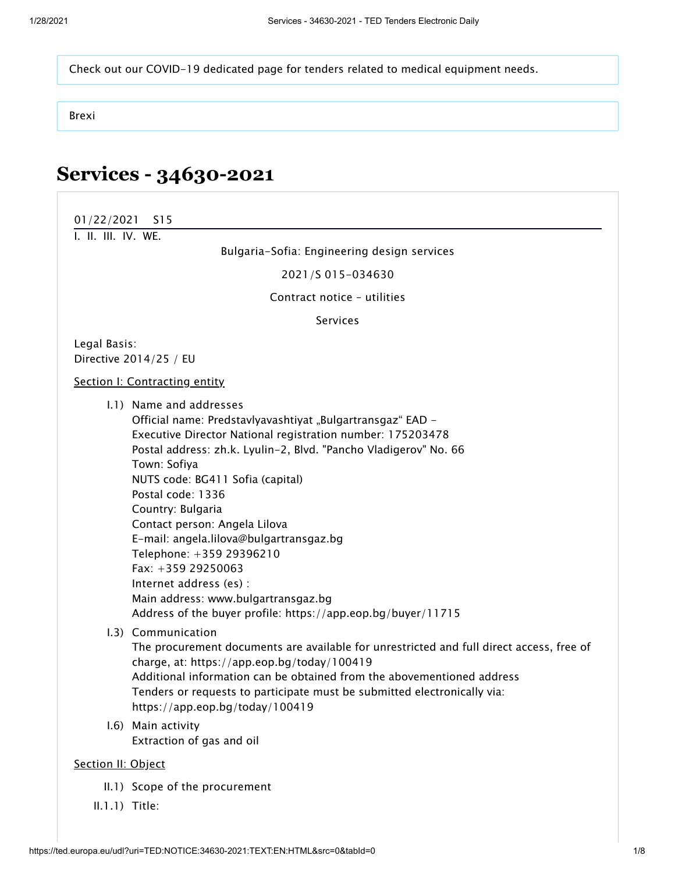[Check out our COVID-19 dedicated page for tenders related to medical equipment needs.](https://simap.ted.europa.eu/web/simap/covid-related-tenders)

[Brexi](https://ted.europa.eu/TED/misc/news.do)

## **Services - 34630-2021**

<span id="page-0-0"></span>

| 01/22/2021<br>S <sub>15</sub>                                                                                                                                                                                                                                                                                                                                                                                                                                                                                                                                                         |
|---------------------------------------------------------------------------------------------------------------------------------------------------------------------------------------------------------------------------------------------------------------------------------------------------------------------------------------------------------------------------------------------------------------------------------------------------------------------------------------------------------------------------------------------------------------------------------------|
| I. II. III. IV. WE.                                                                                                                                                                                                                                                                                                                                                                                                                                                                                                                                                                   |
| Bulgaria-Sofia: Engineering design services                                                                                                                                                                                                                                                                                                                                                                                                                                                                                                                                           |
| 2021/S 015-034630                                                                                                                                                                                                                                                                                                                                                                                                                                                                                                                                                                     |
| Contract notice - utilities                                                                                                                                                                                                                                                                                                                                                                                                                                                                                                                                                           |
| <b>Services</b>                                                                                                                                                                                                                                                                                                                                                                                                                                                                                                                                                                       |
| Legal Basis:<br>Directive 2014/25 / EU                                                                                                                                                                                                                                                                                                                                                                                                                                                                                                                                                |
| Section I: Contracting entity                                                                                                                                                                                                                                                                                                                                                                                                                                                                                                                                                         |
| 1.1) Name and addresses<br>Official name: Predstavlyavashtiyat "Bulgartransgaz" EAD -<br>Executive Director National registration number: 175203478<br>Postal address: zh.k. Lyulin-2, Blvd. "Pancho Vladigerov" No. 66<br>Town: Sofiya<br>NUTS code: BG411 Sofia (capital)<br>Postal code: 1336<br>Country: Bulgaria<br>Contact person: Angela Lilova<br>E-mail: angela.lilova@bulgartransgaz.bg<br>Telephone: +359 29396210<br>Fax: +359 29250063<br>Internet address (es) :<br>Main address: www.bulgartransgaz.bg<br>Address of the buyer profile: https://app.eop.bg/buyer/11715 |
| 1.3) Communication<br>The procurement documents are available for unrestricted and full direct access, free of<br>charge, at: https://app.eop.bg/today/100419<br>Additional information can be obtained from the abovementioned address<br>Tenders or requests to participate must be submitted electronically via:<br>https://app.eop.bg/today/100419                                                                                                                                                                                                                                |
| I.6) Main activity<br>Extraction of gas and oil                                                                                                                                                                                                                                                                                                                                                                                                                                                                                                                                       |
| Section II: Object                                                                                                                                                                                                                                                                                                                                                                                                                                                                                                                                                                    |
| II.1) Scope of the procurement                                                                                                                                                                                                                                                                                                                                                                                                                                                                                                                                                        |

<span id="page-0-1"></span>II.1.1) Title: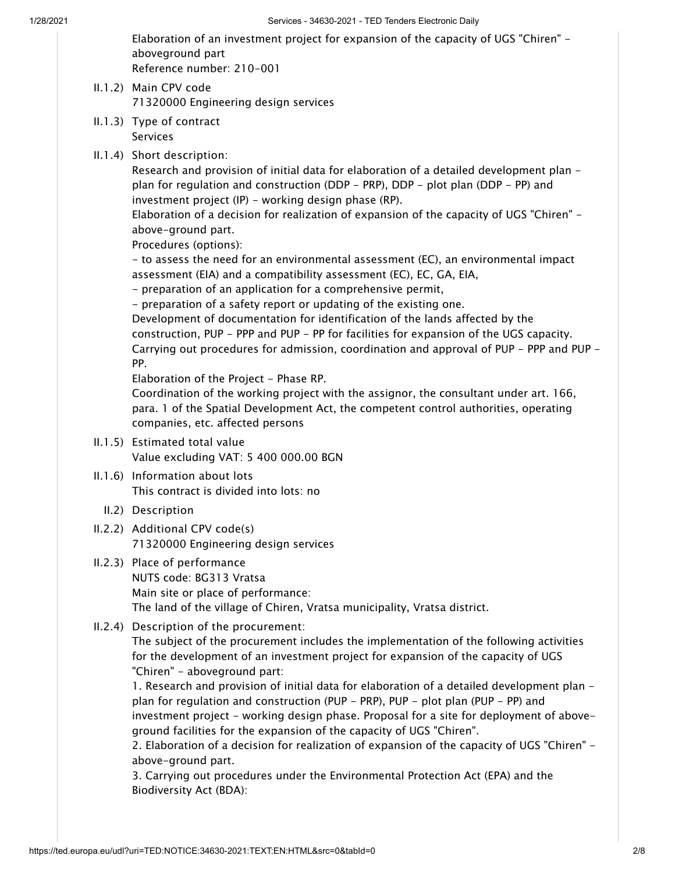Elaboration of an investment project for expansion of the capacity of UGS "Chiren" aboveground part Reference number: 210-001

- II.1.2) Main CPV code 71320000 Engineering design services
- II.1.3) Type of contract Services
- II.1.4) Short description:

Research and provision of initial data for elaboration of a detailed development plan plan for regulation and construction (DDP - PRP), DDP - plot plan (DDP - PP) and investment project (IP) - working design phase (RP).

Elaboration of a decision for realization of expansion of the capacity of UGS "Chiren" above-ground part.

Procedures (options):

- to assess the need for an environmental assessment (EC), an environmental impact assessment (EIA) and a compatibility assessment (EC), EC, GA, EIA,

- preparation of an application for a comprehensive permit,

- preparation of a safety report or updating of the existing one.

Development of documentation for identification of the lands affected by the construction, PUP - PPP and PUP - PP for facilities for expansion of the UGS capacity. Carrying out procedures for admission, coordination and approval of PUP - PPP and PUP - PP.

Elaboration of the Project - Phase RP.

Coordination of the working project with the assignor, the consultant under art. 166, para. 1 of the Spatial Development Act, the competent control authorities, operating companies, etc. affected persons

- II.1.5) Estimated total value Value excluding VAT: 5 400 000.00 BGN
- II.1.6) Information about lots This contract is divided into lots: no
	- II.2) Description
- II.2.2) Additional CPV code(s) 71320000 Engineering design services
- II.2.3) Place of performance NUTS code: BG313 Vratsa Main site or place of performance: The land of the village of Chiren, Vratsa municipality, Vratsa district.
- II.2.4) Description of the procurement:

The subject of the procurement includes the implementation of the following activities for the development of an investment project for expansion of the capacity of UGS "Chiren" - aboveground part:

1. Research and provision of initial data for elaboration of a detailed development plan plan for regulation and construction (PUP - PRP), PUP - plot plan (PUP - PP) and investment project - working design phase. Proposal for a site for deployment of aboveground facilities for the expansion of the capacity of UGS "Chiren".

2. Elaboration of a decision for realization of expansion of the capacity of UGS "Chiren" above-ground part.

3. Carrying out procedures under the Environmental Protection Act (EPA) and the Biodiversity Act (BDA):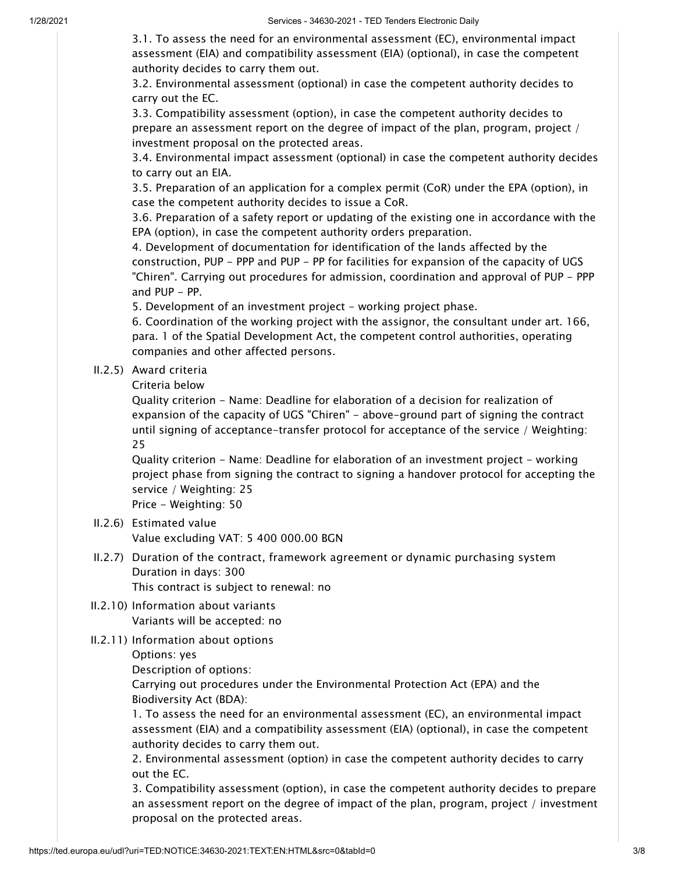3.1. To assess the need for an environmental assessment (EC), environmental impact assessment (EIA) and compatibility assessment (EIA) (optional), in case the competent authority decides to carry them out.

3.2. Environmental assessment (optional) in case the competent authority decides to carry out the EC.

3.3. Compatibility assessment (option), in case the competent authority decides to prepare an assessment report on the degree of impact of the plan, program, project / investment proposal on the protected areas.

3.4. Environmental impact assessment (optional) in case the competent authority decides to carry out an EIA.

3.5. Preparation of an application for a complex permit (CoR) under the EPA (option), in case the competent authority decides to issue a CoR.

3.6. Preparation of a safety report or updating of the existing one in accordance with the EPA (option), in case the competent authority orders preparation.

4. Development of documentation for identification of the lands affected by the construction, PUP - PPP and PUP - PP for facilities for expansion of the capacity of UGS "Chiren". Carrying out procedures for admission, coordination and approval of PUP - PPP and PUP - PP.

5. Development of an investment project - working project phase.

6. Coordination of the working project with the assignor, the consultant under art. 166, para. 1 of the Spatial Development Act, the competent control authorities, operating companies and other affected persons.

II.2.5) Award criteria

Criteria below

Quality criterion - Name: Deadline for elaboration of a decision for realization of expansion of the capacity of UGS "Chiren" - above-ground part of signing the contract until signing of acceptance-transfer protocol for acceptance of the service / Weighting: 25

Quality criterion - Name: Deadline for elaboration of an investment project - working project phase from signing the contract to signing a handover protocol for accepting the service / Weighting: 25

Price - Weighting: 50

- II.2.6) Estimated value Value excluding VAT: 5 400 000.00 BGN
- II.2.7) Duration of the contract, framework agreement or dynamic purchasing system Duration in days: 300 This contract is subject to renewal: no

- II.2.10) Information about variants Variants will be accepted: no
- II.2.11) Information about options

Options: yes

Description of options:

Carrying out procedures under the Environmental Protection Act (EPA) and the Biodiversity Act (BDA):

1. To assess the need for an environmental assessment (EC), an environmental impact assessment (EIA) and a compatibility assessment (EIA) (optional), in case the competent authority decides to carry them out.

2. Environmental assessment (option) in case the competent authority decides to carry out the EC.

3. Compatibility assessment (option), in case the competent authority decides to prepare an assessment report on the degree of impact of the plan, program, project / investment proposal on the protected areas.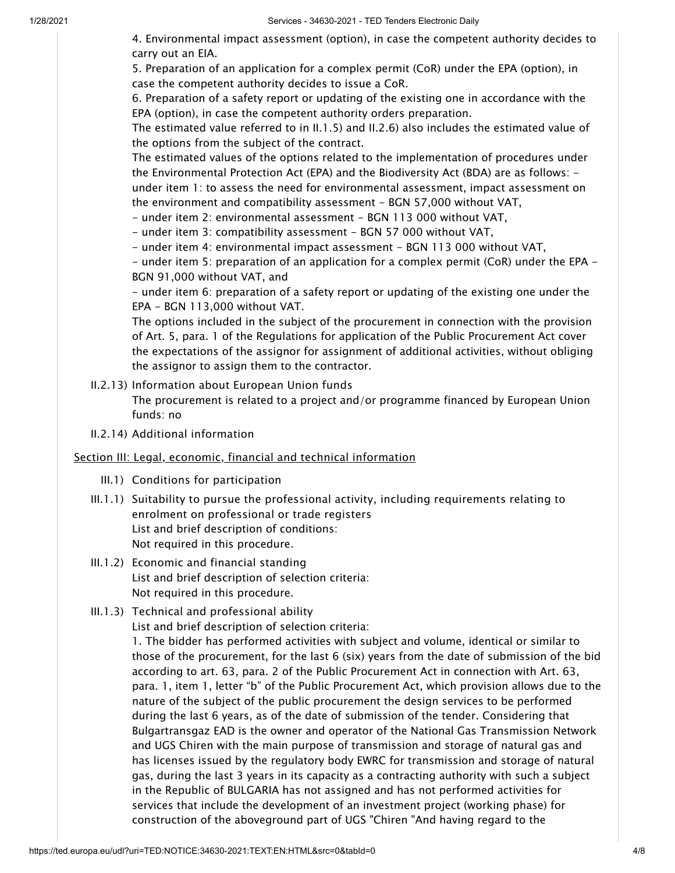4. Environmental impact assessment (option), in case the competent authority decides to carry out an EIA.

5. Preparation of an application for a complex permit (CoR) under the EPA (option), in case the competent authority decides to issue a CoR.

6. Preparation of a safety report or updating of the existing one in accordance with the EPA (option), in case the competent authority orders preparation.

The estimated value referred to in II.1.5) and II.2.6) also includes the estimated value of the options from the subject of the contract.

The estimated values of the options related to the implementation of procedures under the Environmental Protection Act (EPA) and the Biodiversity Act (BDA) are as follows: under item 1: to assess the need for environmental assessment, impact assessment on

the environment and compatibility assessment - BGN 57,000 without VAT,

- under item 2: environmental assessment - BGN 113 000 without VAT,

- under item 3: compatibility assessment - BGN 57 000 without VAT,

- under item 4: environmental impact assessment - BGN 113 000 without VAT,

- under item 5: preparation of an application for a complex permit (CoR) under the EPA - BGN 91,000 without VAT, and

- under item 6: preparation of a safety report or updating of the existing one under the EPA - BGN 113,000 without VAT.

The options included in the subject of the procurement in connection with the provision of Art. 5, para. 1 of the Regulations for application of the Public Procurement Act cover the expectations of the assignor for assignment of additional activities, without obliging the assignor to assign them to the contractor.

II.2.13) Information about European Union funds

The procurement is related to a project and/or programme financed by European Union funds: no

II.2.14) Additional information

## <span id="page-3-0"></span>Section III: Legal, economic, financial and technical information

- III.1) Conditions for participation
- III.1.1) Suitability to pursue the professional activity, including requirements relating to enrolment on professional or trade registers List and brief description of conditions: Not required in this procedure.
- III.1.2) Economic and financial standing List and brief description of selection criteria: Not required in this procedure.
- III.1.3) Technical and professional ability

List and brief description of selection criteria: 1. The bidder has performed activities with subject and volume, identical or similar to those of the procurement, for the last 6 (six) years from the date of submission of the bid according to art. 63, para. 2 of the Public Procurement Act in connection with Art. 63, para. 1, item 1, letter "b" of the Public Procurement Act, which provision allows due to the nature of the subject of the public procurement the design services to be performed during the last 6 years, as of the date of submission of the tender. Considering that Bulgartransgaz EAD is the owner and operator of the National Gas Transmission Network and UGS Chiren with the main purpose of transmission and storage of natural gas and has licenses issued by the regulatory body EWRC for transmission and storage of natural gas, during the last 3 years in its capacity as a contracting authority with such a subject in the Republic of BULGARIA has not assigned and has not performed activities for services that include the development of an investment project (working phase) for construction of the aboveground part of UGS "Chiren "And having regard to the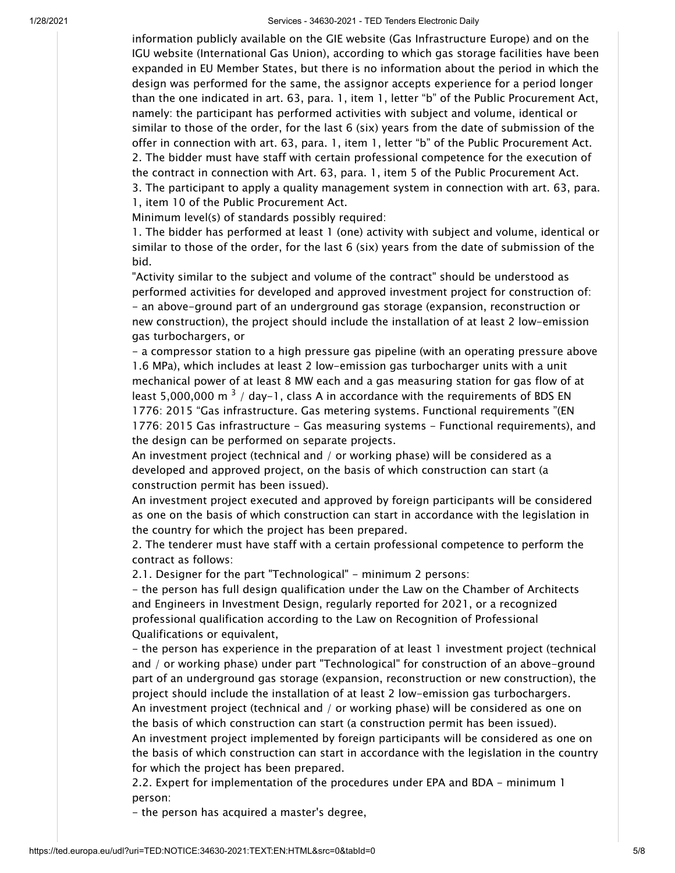1/28/2021 Services - 34630-2021 - TED Tenders Electronic Daily

information publicly available on the GIE website (Gas Infrastructure Europe) and on the IGU website (International Gas Union), according to which gas storage facilities have been expanded in EU Member States, but there is no information about the period in which the design was performed for the same, the assignor accepts experience for a period longer than the one indicated in art. 63, para. 1, item 1, letter "b" of the Public Procurement Act, namely: the participant has performed activities with subject and volume, identical or similar to those of the order, for the last 6 (six) years from the date of submission of the offer in connection with art. 63, para. 1, item 1, letter "b" of the Public Procurement Act. 2. The bidder must have staff with certain professional competence for the execution of the contract in connection with Art. 63, para. 1, item 5 of the Public Procurement Act. 3. The participant to apply a quality management system in connection with art. 63, para. 1, item 10 of the Public Procurement Act.

Minimum level(s) of standards possibly required:

1. The bidder has performed at least 1 (one) activity with subject and volume, identical or similar to those of the order, for the last 6 (six) years from the date of submission of the bid.

"Activity similar to the subject and volume of the contract" should be understood as performed activities for developed and approved investment project for construction of: - an above-ground part of an underground gas storage (expansion, reconstruction or new construction), the project should include the installation of at least 2 low-emission gas turbochargers, or

- a compressor station to a high pressure gas pipeline (with an operating pressure above 1.6 MPa), which includes at least 2 low-emission gas turbocharger units with a unit mechanical power of at least 8 MW each and a gas measuring station for gas flow of at least 5,000,000 m  $^3$  / day-1, class A in accordance with the requirements of BDS EN 1776: 2015 "Gas infrastructure. Gas metering systems. Functional requirements "(EN 1776: 2015 Gas infrastructure - Gas measuring systems - Functional requirements), and the design can be performed on separate projects.

An investment project (technical and / or working phase) will be considered as a developed and approved project, on the basis of which construction can start (a construction permit has been issued).

An investment project executed and approved by foreign participants will be considered as one on the basis of which construction can start in accordance with the legislation in the country for which the project has been prepared.

2. The tenderer must have staff with a certain professional competence to perform the contract as follows:

2.1. Designer for the part "Technological" - minimum 2 persons:

- the person has full design qualification under the Law on the Chamber of Architects and Engineers in Investment Design, regularly reported for 2021, or a recognized professional qualification according to the Law on Recognition of Professional Qualifications or equivalent,

- the person has experience in the preparation of at least 1 investment project (technical and / or working phase) under part "Technological" for construction of an above-ground part of an underground gas storage (expansion, reconstruction or new construction), the project should include the installation of at least 2 low-emission gas turbochargers. An investment project (technical and / or working phase) will be considered as one on the basis of which construction can start (a construction permit has been issued).

An investment project implemented by foreign participants will be considered as one on the basis of which construction can start in accordance with the legislation in the country for which the project has been prepared.

2.2. Expert for implementation of the procedures under EPA and BDA - minimum 1 person:

- the person has acquired a master's degree,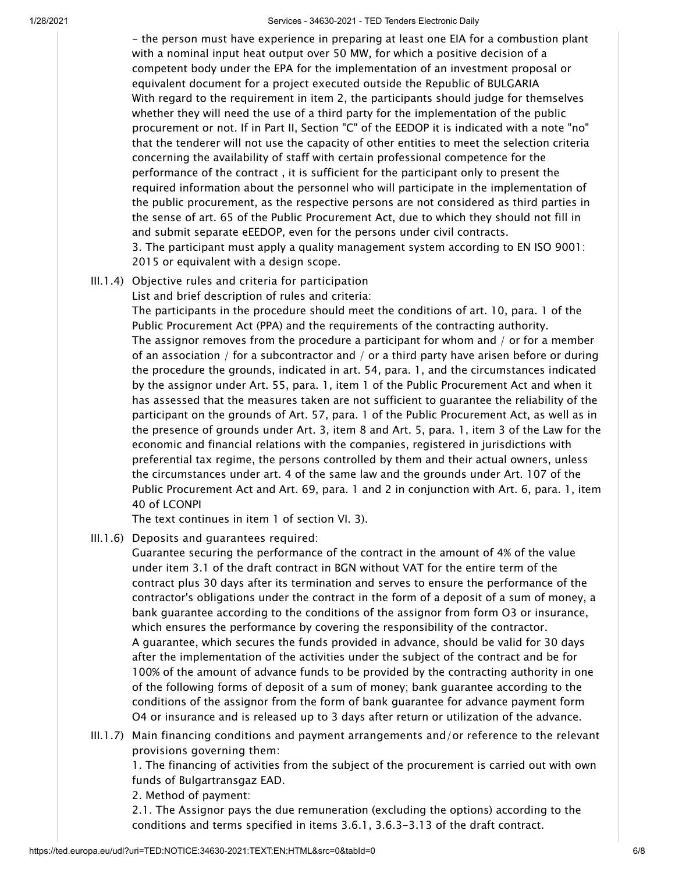1/28/2021 Services - 34630-2021 - TED Tenders Electronic Daily

- the person must have experience in preparing at least one EIA for a combustion plant with a nominal input heat output over 50 MW, for which a positive decision of a competent body under the EPA for the implementation of an investment proposal or equivalent document for a project executed outside the Republic of BULGARIA With regard to the requirement in item 2, the participants should judge for themselves whether they will need the use of a third party for the implementation of the public procurement or not. If in Part II, Section "C" of the EEDOP it is indicated with a note "no" that the tenderer will not use the capacity of other entities to meet the selection criteria concerning the availability of staff with certain professional competence for the performance of the contract , it is sufficient for the participant only to present the required information about the personnel who will participate in the implementation of the public procurement, as the respective persons are not considered as third parties in the sense of art. 65 of the Public Procurement Act, due to which they should not fill in and submit separate eEEDOP, even for the persons under civil contracts. 3. The participant must apply a quality management system according to EN ISO 9001: 2015 or equivalent with a design scope.

III.1.4) Objective rules and criteria for participation

List and brief description of rules and criteria:

The participants in the procedure should meet the conditions of art. 10, para. 1 of the Public Procurement Act (PPA) and the requirements of the contracting authority. The assignor removes from the procedure a participant for whom and / or for a member of an association / for a subcontractor and / or a third party have arisen before or during the procedure the grounds, indicated in art. 54, para. 1, and the circumstances indicated by the assignor under Art. 55, para. 1, item 1 of the Public Procurement Act and when it has assessed that the measures taken are not sufficient to guarantee the reliability of the participant on the grounds of Art. 57, para. 1 of the Public Procurement Act, as well as in the presence of grounds under Art. 3, item 8 and Art. 5, para. 1, item 3 of the Law for the economic and financial relations with the companies, registered in jurisdictions with preferential tax regime, the persons controlled by them and their actual owners, unless the circumstances under art. 4 of the same law and the grounds under Art. 107 of the Public Procurement Act and Art. 69, para. 1 and 2 in conjunction with Art. 6, para. 1, item 40 of LCONPI

The text continues in item 1 of section VI. 3).

III.1.6) Deposits and guarantees required:

Guarantee securing the performance of the contract in the amount of 4% of the value under item 3.1 of the draft contract in BGN without VAT for the entire term of the contract plus 30 days after its termination and serves to ensure the performance of the contractor's obligations under the contract in the form of a deposit of a sum of money, a bank guarantee according to the conditions of the assignor from form O3 or insurance, which ensures the performance by covering the responsibility of the contractor. A guarantee, which secures the funds provided in advance, should be valid for 30 days after the implementation of the activities under the subject of the contract and be for 100% of the amount of advance funds to be provided by the contracting authority in one of the following forms of deposit of a sum of money; bank guarantee according to the conditions of the assignor from the form of bank guarantee for advance payment form O4 or insurance and is released up to 3 days after return or utilization of the advance.

III.1.7) Main financing conditions and payment arrangements and/or reference to the relevant provisions governing them:

1. The financing of activities from the subject of the procurement is carried out with own funds of Bulgartransgaz EAD.

2. Method of payment:

2.1. The Assignor pays the due remuneration (excluding the options) according to the conditions and terms specified in items 3.6.1, 3.6.3-3.13 of the draft contract.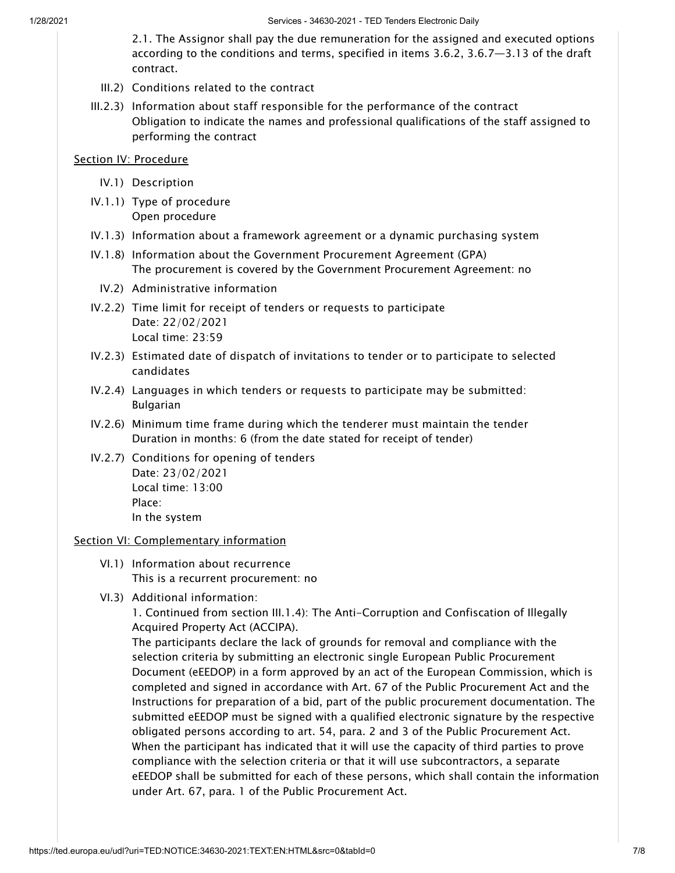2.1. The Assignor shall pay the due remuneration for the assigned and executed options according to the conditions and terms, specified in items 3.6.2, 3.6.7—3.13 of the draft contract.

- III.2) Conditions related to the contract
- III.2.3) Information about staff responsible for the performance of the contract Obligation to indicate the names and professional qualifications of the staff assigned to performing the contract

## <span id="page-6-0"></span>Section IV: Procedure

- IV.1) Description
- IV.1.1) Type of procedure Open procedure
- IV.1.3) Information about a framework agreement or a dynamic purchasing system
- IV.1.8) Information about the Government Procurement Agreement (GPA) The procurement is covered by the Government Procurement Agreement: no
	- IV.2) Administrative information
- IV.2.2) Time limit for receipt of tenders or requests to participate Date: 22/02/2021 Local time: 23:59
- IV.2.3) Estimated date of dispatch of invitations to tender or to participate to selected candidates
- IV.2.4) Languages in which tenders or requests to participate may be submitted: Bulgarian
- IV.2.6) Minimum time frame during which the tenderer must maintain the tender Duration in months: 6 (from the date stated for receipt of tender)
- IV.2.7) Conditions for opening of tenders Date: 23/02/2021 Local time: 13:00 Place: In the system

## <span id="page-6-1"></span>Section VI: Complementary information

- VI.1) Information about recurrence This is a recurrent procurement: no
- VI.3) Additional information:

1. Continued from section III.1.4): The Anti-Corruption and Confiscation of Illegally Acquired Property Act (ACCIPA).

The participants declare the lack of grounds for removal and compliance with the selection criteria by submitting an electronic single European Public Procurement Document (eEEDOP) in a form approved by an act of the European Commission, which is completed and signed in accordance with Art. 67 of the Public Procurement Act and the Instructions for preparation of a bid, part of the public procurement documentation. The submitted eEEDOP must be signed with a qualified electronic signature by the respective obligated persons according to art. 54, para. 2 and 3 of the Public Procurement Act. When the participant has indicated that it will use the capacity of third parties to prove compliance with the selection criteria or that it will use subcontractors, a separate eEEDOP shall be submitted for each of these persons, which shall contain the information under Art. 67, para. 1 of the Public Procurement Act.